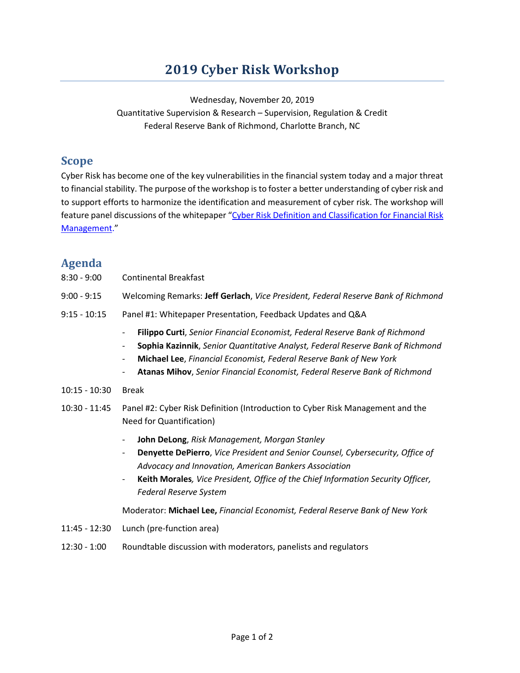## **2019 Cyber Risk Workshop**

Wednesday, November 20, 2019 Quantitative Supervision & Research – Supervision, Regulation & Credit Federal Reserve Bank of Richmond, Charlotte Branch, NC

## **Scope**

Cyber Risk has become one of the key vulnerabilities in the financial system today and a major threat to financial stability. The purpose of the workshop is to foster a better understanding of cyber risk and to support efforts to harmonize the identification and measurement of cyber risk. The workshop will feature panel discussions of the whitepaper "Cyber Risk Definition and Classification for Financial Risk [Management."](https://www.richmondfed.org/-/media/richmondfedorg/conferences_and_events/banking/2019/cyber_risk_classification_white_paper.pdf)

## **Agenda**

| $8:30 - 9:00$   | <b>Continental Breakfast</b>                                                                                                                                                                                                                                                                                                                           |
|-----------------|--------------------------------------------------------------------------------------------------------------------------------------------------------------------------------------------------------------------------------------------------------------------------------------------------------------------------------------------------------|
| $9:00 - 9:15$   | Welcoming Remarks: Jeff Gerlach, Vice President, Federal Reserve Bank of Richmond                                                                                                                                                                                                                                                                      |
| $9:15 - 10:15$  | Panel #1: Whitepaper Presentation, Feedback Updates and Q&A                                                                                                                                                                                                                                                                                            |
|                 | Filippo Curti, Senior Financial Economist, Federal Reserve Bank of Richmond<br>-<br>Sophia Kazinnik, Senior Quantitative Analyst, Federal Reserve Bank of Richmond<br>-<br>Michael Lee, Financial Economist, Federal Reserve Bank of New York<br>-<br>Atanas Mihov, Senior Financial Economist, Federal Reserve Bank of Richmond<br>-                  |
| $10:15 - 10:30$ | <b>Break</b>                                                                                                                                                                                                                                                                                                                                           |
| 10:30 - 11:45   | Panel #2: Cyber Risk Definition (Introduction to Cyber Risk Management and the<br><b>Need for Quantification)</b>                                                                                                                                                                                                                                      |
|                 | John DeLong, Risk Management, Morgan Stanley<br>-<br>Denyette DePierro, Vice President and Senior Counsel, Cybersecurity, Office of<br>-<br>Advocacy and Innovation, American Bankers Association<br>Keith Morales, Vice President, Office of the Chief Information Security Officer,<br>$\qquad \qquad \blacksquare$<br><b>Federal Reserve System</b> |
|                 | Moderator: Michael Lee, Financial Economist, Federal Reserve Bank of New York                                                                                                                                                                                                                                                                          |

- 11:45 12:30 Lunch (pre-function area)
- 12:30 1:00 Roundtable discussion with moderators, panelists and regulators